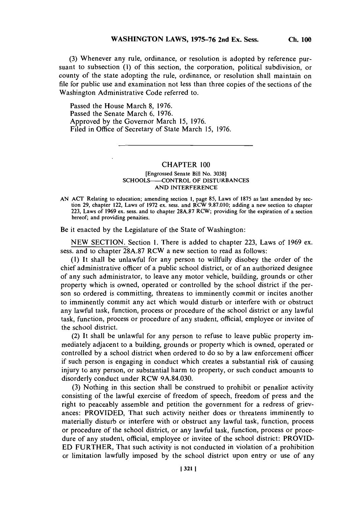**(3) Whenever** any rule, ordinance, or resolution is adopted **by** reference pursuant to subsection **(1)** of this section, the corporation, political subdivision, or county of the state adopting the rule, ordinance, or resolution shall maintain on file for public use and examination not less than three copies of the sections of the

Passed the House March **8, 1976.** Passed the Senate March **6, 1976.** Approved **by** the Governor March *15,* **1976.** Filed in Office of Secretary of State March **15, 1976.**

Washington Administrative Code referred to.

## CHAPTER **100**

## [Engrossecd Senate Bill No. **3038] SCHOOLS-CONTROL** OF **DISTURBANCES AND INTERFERENCE**

Be it enacted **by** the Legislature of the State of Washington:

**NEW SECTION.** Section **1.** There is added to chapter **223,** Laws of **1969** ex. sess. and to chapter **28A.87** RCW a new section to read as follows:

**(1)** It shall be unlawful for any person to willfully disobey the order of the chief administrative officer of a public school district, or of an authorized designee of any such administrator, to leave any motor vehicle, building, grounds or other property which is owned, operated or controlled **by** the school district if the person so ordered is committing, threatens to imminently commit or incites another to imminently commit any act which would disturb or interfere with or obstruct any lawful task, function, process or procedure of the school district or any lawful task, function, process or procedure of any student, official, employee or invitee of the school district.

(2) It shall be unlawful for any person to refuse to leave public property immediately adjacent to a building, grounds or property which is owned, operated or controlled **by** a school district when ordered to do so **by** a law enforcement officer if such person is engaging in conduct which creates a substantial risk of causing injury to any person, or substantial harm to property, or such conduct amounts to disorderly conduct under RCW **9A.84.030.**

**(3)** Nothing in this section shall be construed to prohibit or penalize activity consisting of the lawful exercise of freedom of speech, freedom of press and the right to peaceably assemble and petition the government for a redress of grievances: PROVIDED, That such activity neither does or threatens imminently to materially disturb or interfere with or obstruct any lawful task, function, process or procedure of the school district, or any lawful task, function, process or procedure of any student, official, employee or invitee of the school district: PROVID-**ED** FURTHER, That such activity is not conducted in violation of a prohibition or limitation lawfully imposed **by** the school district upon entry or use of any

AN ACT Relating to education; amending section 1, page 85, Laws of 1875 as last amended by section 29, chapter 122, Laws of 1972 ex. sess. and RCW 9.87.010; adding a new section to chapter **223,** Laws of **1969** ex. sess. and to chapter **28A.87** RCW; providing for the expiration of a section hereof; and providing penalties.